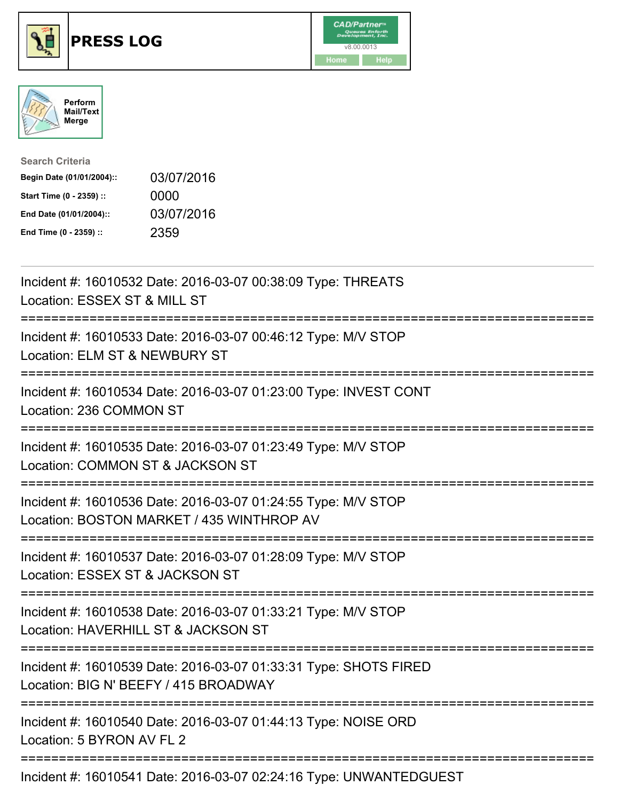





| <b>Search Criteria</b>    |            |
|---------------------------|------------|
| Begin Date (01/01/2004):: | 03/07/2016 |
| Start Time (0 - 2359) ::  | 0000       |
| End Date (01/01/2004)::   | 03/07/2016 |
| End Time (0 - 2359) ::    | 2359       |

| Incident #: 16010532 Date: 2016-03-07 00:38:09 Type: THREATS<br>Location: ESSEX ST & MILL ST                                                                                                                                                                                                                                                        |
|-----------------------------------------------------------------------------------------------------------------------------------------------------------------------------------------------------------------------------------------------------------------------------------------------------------------------------------------------------|
| Incident #: 16010533 Date: 2016-03-07 00:46:12 Type: M/V STOP<br>Location: ELM ST & NEWBURY ST<br>====================                                                                                                                                                                                                                              |
| Incident #: 16010534 Date: 2016-03-07 01:23:00 Type: INVEST CONT<br>Location: 236 COMMON ST<br>:===================                                                                                                                                                                                                                                 |
| Incident #: 16010535 Date: 2016-03-07 01:23:49 Type: M/V STOP<br>Location: COMMON ST & JACKSON ST                                                                                                                                                                                                                                                   |
| Incident #: 16010536 Date: 2016-03-07 01:24:55 Type: M/V STOP<br>Location: BOSTON MARKET / 435 WINTHROP AV                                                                                                                                                                                                                                          |
| Incident #: 16010537 Date: 2016-03-07 01:28:09 Type: M/V STOP<br>Location: ESSEX ST & JACKSON ST                                                                                                                                                                                                                                                    |
| Incident #: 16010538 Date: 2016-03-07 01:33:21 Type: M/V STOP<br>Location: HAVERHILL ST & JACKSON ST                                                                                                                                                                                                                                                |
| Incident #: 16010539 Date: 2016-03-07 01:33:31 Type: SHOTS FIRED<br>Location: BIG N' BEEFY / 415 BROADWAY                                                                                                                                                                                                                                           |
| Incident #: 16010540 Date: 2016-03-07 01:44:13 Type: NOISE ORD<br>Location: 5 BYRON AV FL 2                                                                                                                                                                                                                                                         |
| $\overline{1}$ , $\overline{1}$ , $\overline{1}$ , $\overline{1}$ , $\overline{1}$ , $\overline{1}$ , $\overline{1}$ , $\overline{1}$ , $\overline{1}$ , $\overline{1}$ , $\overline{1}$ , $\overline{1}$ , $\overline{1}$ , $\overline{1}$ , $\overline{1}$ , $\overline{1}$ , $\overline{1}$ , $\overline{1}$ , $\overline{1}$ , $\overline{1}$ , |

Incident #: 16010541 Date: 2016-03-07 02:24:16 Type: UNWANTEDGUEST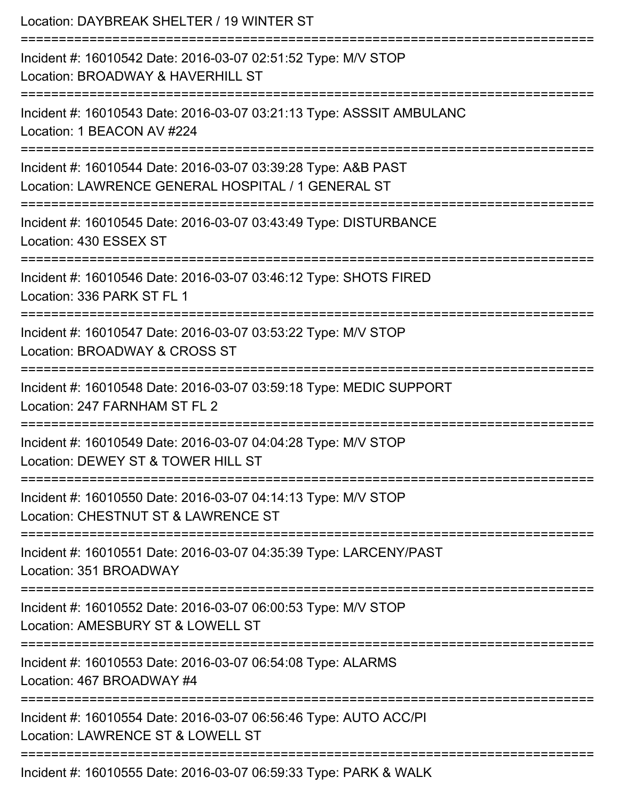| Location: DAYBREAK SHELTER / 19 WINTER ST                                                                           |
|---------------------------------------------------------------------------------------------------------------------|
| Incident #: 16010542 Date: 2016-03-07 02:51:52 Type: M/V STOP<br>Location: BROADWAY & HAVERHILL ST                  |
| Incident #: 16010543 Date: 2016-03-07 03:21:13 Type: ASSSIT AMBULANC<br>Location: 1 BEACON AV #224                  |
| Incident #: 16010544 Date: 2016-03-07 03:39:28 Type: A&B PAST<br>Location: LAWRENCE GENERAL HOSPITAL / 1 GENERAL ST |
| Incident #: 16010545 Date: 2016-03-07 03:43:49 Type: DISTURBANCE<br>Location: 430 ESSEX ST                          |
| Incident #: 16010546 Date: 2016-03-07 03:46:12 Type: SHOTS FIRED<br>Location: 336 PARK ST FL 1                      |
| Incident #: 16010547 Date: 2016-03-07 03:53:22 Type: M/V STOP<br>Location: BROADWAY & CROSS ST                      |
| Incident #: 16010548 Date: 2016-03-07 03:59:18 Type: MEDIC SUPPORT<br>Location: 247 FARNHAM ST FL 2                 |
| Incident #: 16010549 Date: 2016-03-07 04:04:28 Type: M/V STOP<br>Location: DEWEY ST & TOWER HILL ST                 |
| Incident #: 16010550 Date: 2016-03-07 04:14:13 Type: M/V STOP<br>Location: CHESTNUT ST & LAWRENCE ST                |
| Incident #: 16010551 Date: 2016-03-07 04:35:39 Type: LARCENY/PAST<br>Location: 351 BROADWAY                         |
| Incident #: 16010552 Date: 2016-03-07 06:00:53 Type: M/V STOP<br>Location: AMESBURY ST & LOWELL ST                  |
| Incident #: 16010553 Date: 2016-03-07 06:54:08 Type: ALARMS<br>Location: 467 BROADWAY #4                            |
| Incident #: 16010554 Date: 2016-03-07 06:56:46 Type: AUTO ACC/PI<br>Location: LAWRENCE ST & LOWELL ST               |
| Incident #: 16010555 Date: 2016-03-07 06:59:33 Type: PARK & WALK                                                    |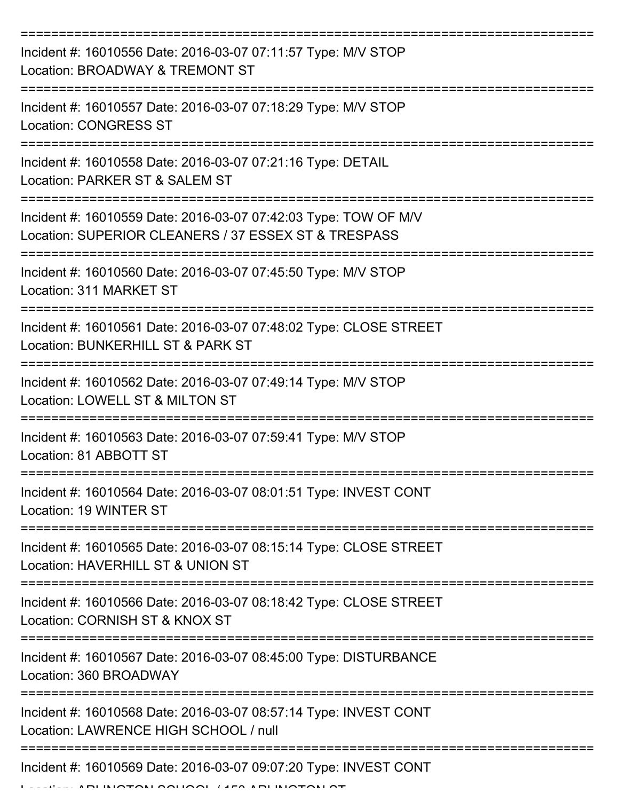| Incident #: 16010556 Date: 2016-03-07 07:11:57 Type: M/V STOP<br>Location: BROADWAY & TREMONT ST                        |
|-------------------------------------------------------------------------------------------------------------------------|
| Incident #: 16010557 Date: 2016-03-07 07:18:29 Type: M/V STOP<br><b>Location: CONGRESS ST</b>                           |
| Incident #: 16010558 Date: 2016-03-07 07:21:16 Type: DETAIL<br>Location: PARKER ST & SALEM ST                           |
| Incident #: 16010559 Date: 2016-03-07 07:42:03 Type: TOW OF M/V<br>Location: SUPERIOR CLEANERS / 37 ESSEX ST & TRESPASS |
| Incident #: 16010560 Date: 2016-03-07 07:45:50 Type: M/V STOP<br>Location: 311 MARKET ST                                |
| Incident #: 16010561 Date: 2016-03-07 07:48:02 Type: CLOSE STREET<br>Location: BUNKERHILL ST & PARK ST                  |
| Incident #: 16010562 Date: 2016-03-07 07:49:14 Type: M/V STOP<br>Location: LOWELL ST & MILTON ST                        |
| Incident #: 16010563 Date: 2016-03-07 07:59:41 Type: M/V STOP<br>Location: 81 ABBOTT ST                                 |
| Incident #: 16010564 Date: 2016-03-07 08:01:51 Type: INVEST CONT<br>Location: 19 WINTER ST                              |
| Incident #: 16010565 Date: 2016-03-07 08:15:14 Type: CLOSE STREET<br>Location: HAVERHILL ST & UNION ST                  |
| Incident #: 16010566 Date: 2016-03-07 08:18:42 Type: CLOSE STREET<br>Location: CORNISH ST & KNOX ST                     |
| Incident #: 16010567 Date: 2016-03-07 08:45:00 Type: DISTURBANCE<br>Location: 360 BROADWAY                              |
| Incident #: 16010568 Date: 2016-03-07 08:57:14 Type: INVEST CONT<br>Location: LAWRENCE HIGH SCHOOL / null               |
| Incident #: 16010569 Date: 2016-03-07 09:07:20 Type: INVEST CONT                                                        |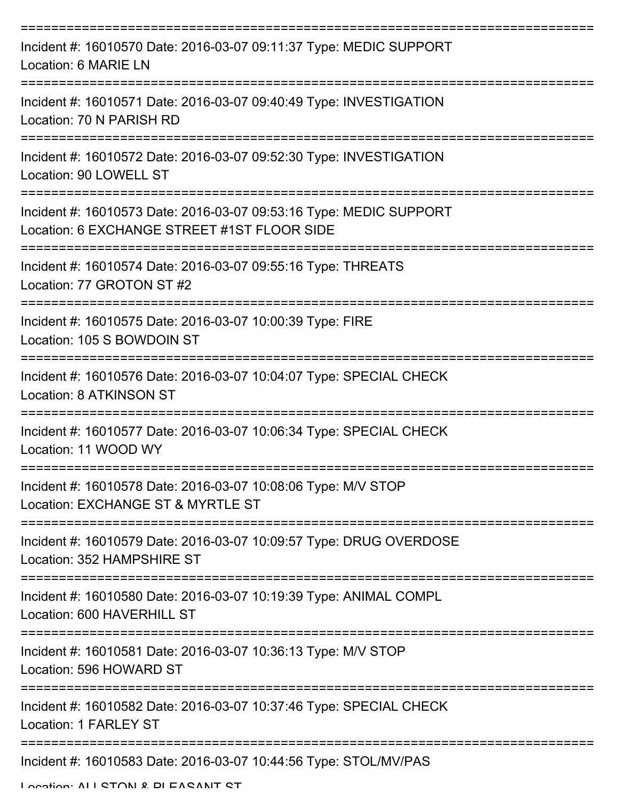| Incident #: 16010570 Date: 2016-03-07 09:11:37 Type: MEDIC SUPPORT<br>Location: 6 MARIE LN                        |
|-------------------------------------------------------------------------------------------------------------------|
| Incident #: 16010571 Date: 2016-03-07 09:40:49 Type: INVESTIGATION<br>Location: 70 N PARISH RD                    |
| Incident #: 16010572 Date: 2016-03-07 09:52:30 Type: INVESTIGATION<br>Location: 90 LOWELL ST                      |
| Incident #: 16010573 Date: 2016-03-07 09:53:16 Type: MEDIC SUPPORT<br>Location: 6 EXCHANGE STREET #1ST FLOOR SIDE |
| Incident #: 16010574 Date: 2016-03-07 09:55:16 Type: THREATS<br>Location: 77 GROTON ST #2                         |
| Incident #: 16010575 Date: 2016-03-07 10:00:39 Type: FIRE<br>Location: 105 S BOWDOIN ST                           |
| Incident #: 16010576 Date: 2016-03-07 10:04:07 Type: SPECIAL CHECK<br>Location: 8 ATKINSON ST                     |
| Incident #: 16010577 Date: 2016-03-07 10:06:34 Type: SPECIAL CHECK<br>Location: 11 WOOD WY                        |
| Incident #: 16010578 Date: 2016-03-07 10:08:06 Type: M/V STOP<br>Location: EXCHANGE ST & MYRTLE ST                |
| Incident #: 16010579 Date: 2016-03-07 10:09:57 Type: DRUG OVERDOSE<br>Location: 352 HAMPSHIRE ST                  |
| Incident #: 16010580 Date: 2016-03-07 10:19:39 Type: ANIMAL COMPL<br>Location: 600 HAVERHILL ST                   |
| Incident #: 16010581 Date: 2016-03-07 10:36:13 Type: M/V STOP<br>Location: 596 HOWARD ST                          |
| Incident #: 16010582 Date: 2016-03-07 10:37:46 Type: SPECIAL CHECK<br>Location: 1 FARLEY ST                       |
| Incident #: 16010583 Date: 2016-03-07 10:44:56 Type: STOL/MV/PAS                                                  |

Location: ALL STON & DLEASANT ST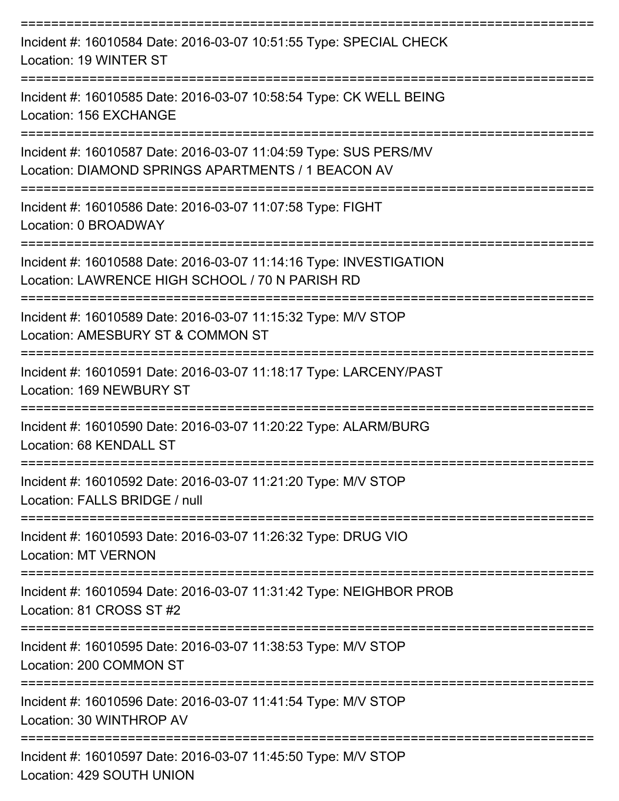| Incident #: 16010584 Date: 2016-03-07 10:51:55 Type: SPECIAL CHECK<br>Location: 19 WINTER ST                                |
|-----------------------------------------------------------------------------------------------------------------------------|
| Incident #: 16010585 Date: 2016-03-07 10:58:54 Type: CK WELL BEING<br>Location: 156 EXCHANGE                                |
| Incident #: 16010587 Date: 2016-03-07 11:04:59 Type: SUS PERS/MV<br>Location: DIAMOND SPRINGS APARTMENTS / 1 BEACON AV      |
| Incident #: 16010586 Date: 2016-03-07 11:07:58 Type: FIGHT<br>Location: 0 BROADWAY                                          |
| Incident #: 16010588 Date: 2016-03-07 11:14:16 Type: INVESTIGATION<br>Location: LAWRENCE HIGH SCHOOL / 70 N PARISH RD       |
| Incident #: 16010589 Date: 2016-03-07 11:15:32 Type: M/V STOP<br>Location: AMESBURY ST & COMMON ST                          |
| Incident #: 16010591 Date: 2016-03-07 11:18:17 Type: LARCENY/PAST<br>Location: 169 NEWBURY ST                               |
| ================<br>Incident #: 16010590 Date: 2016-03-07 11:20:22 Type: ALARM/BURG<br>Location: 68 KENDALL ST              |
| Incident #: 16010592 Date: 2016-03-07 11:21:20 Type: M/V STOP<br>Location: FALLS BRIDGE / null                              |
| Incident #: 16010593 Date: 2016-03-07 11:26:32 Type: DRUG VIO<br><b>Location: MT VERNON</b>                                 |
| -------------------------<br>Incident #: 16010594 Date: 2016-03-07 11:31:42 Type: NEIGHBOR PROB<br>Location: 81 CROSS ST #2 |
| Incident #: 16010595 Date: 2016-03-07 11:38:53 Type: M/V STOP<br>Location: 200 COMMON ST                                    |
| Incident #: 16010596 Date: 2016-03-07 11:41:54 Type: M/V STOP<br>Location: 30 WINTHROP AV                                   |
| Incident #: 16010597 Date: 2016-03-07 11:45:50 Type: M/V STOP<br>Location: 429 SOUTH UNION                                  |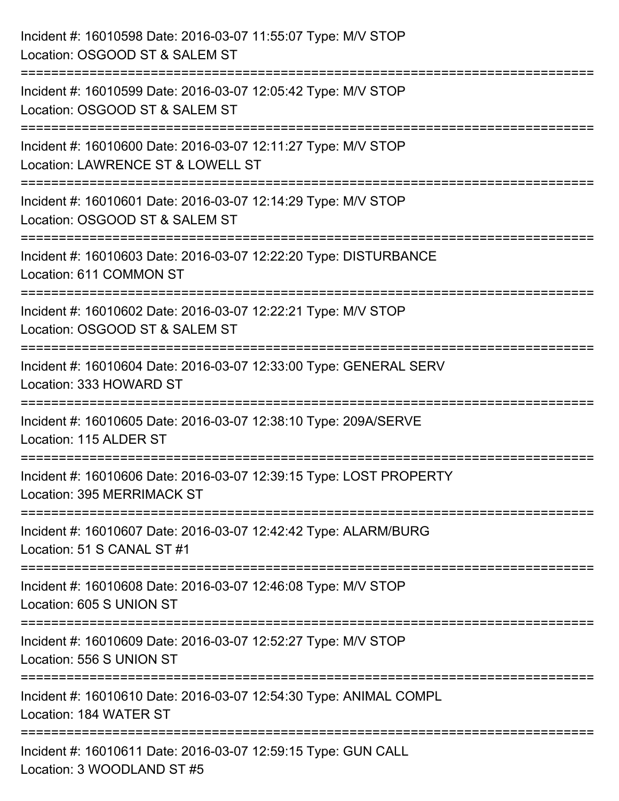| Incident #: 16010598 Date: 2016-03-07 11:55:07 Type: M/V STOP<br>Location: OSGOOD ST & SALEM ST                                               |
|-----------------------------------------------------------------------------------------------------------------------------------------------|
| ==================<br>Incident #: 16010599 Date: 2016-03-07 12:05:42 Type: M/V STOP<br>Location: OSGOOD ST & SALEM ST                         |
| Incident #: 16010600 Date: 2016-03-07 12:11:27 Type: M/V STOP<br>Location: LAWRENCE ST & LOWELL ST                                            |
| ======================<br>----------------<br>Incident #: 16010601 Date: 2016-03-07 12:14:29 Type: M/V STOP<br>Location: OSGOOD ST & SALEM ST |
| ================================<br>Incident #: 16010603 Date: 2016-03-07 12:22:20 Type: DISTURBANCE<br>Location: 611 COMMON ST               |
| Incident #: 16010602 Date: 2016-03-07 12:22:21 Type: M/V STOP<br>Location: OSGOOD ST & SALEM ST                                               |
| ====================================<br>Incident #: 16010604 Date: 2016-03-07 12:33:00 Type: GENERAL SERV<br>Location: 333 HOWARD ST          |
| Incident #: 16010605 Date: 2016-03-07 12:38:10 Type: 209A/SERVE<br>Location: 115 ALDER ST                                                     |
| Incident #: 16010606 Date: 2016-03-07 12:39:15 Type: LOST PROPERTY<br>Location: 395 MERRIMACK ST                                              |
| Incident #: 16010607 Date: 2016-03-07 12:42:42 Type: ALARM/BURG<br>Location: 51 S CANAL ST #1                                                 |
| Incident #: 16010608 Date: 2016-03-07 12:46:08 Type: M/V STOP<br>Location: 605 S UNION ST                                                     |
| Incident #: 16010609 Date: 2016-03-07 12:52:27 Type: M/V STOP<br>Location: 556 S UNION ST                                                     |
| Incident #: 16010610 Date: 2016-03-07 12:54:30 Type: ANIMAL COMPL<br>Location: 184 WATER ST                                                   |
| Incident #: 16010611 Date: 2016-03-07 12:59:15 Type: GUN CALL<br>Location: 3 WOODLAND ST #5                                                   |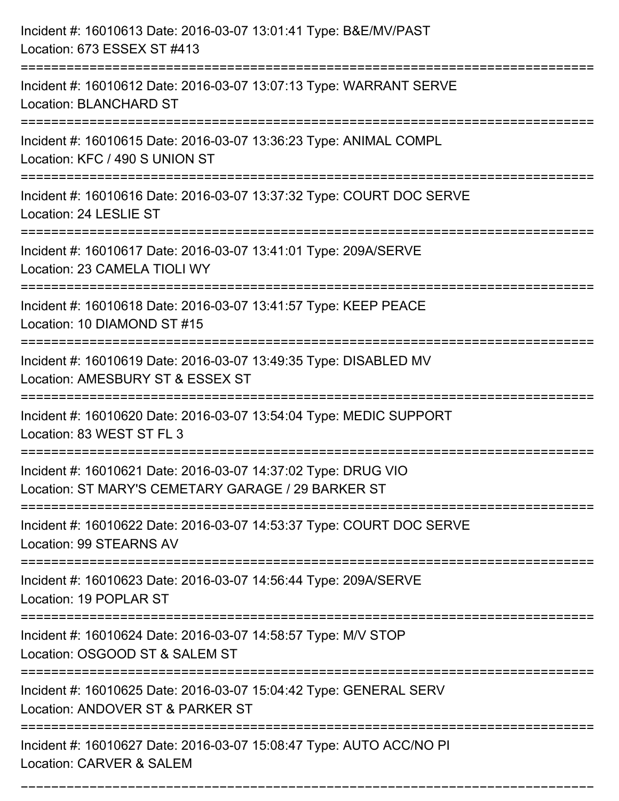| Incident #: 16010613 Date: 2016-03-07 13:01:41 Type: B&E/MV/PAST<br>Location: 673 ESSEX ST #413                                     |
|-------------------------------------------------------------------------------------------------------------------------------------|
| Incident #: 16010612 Date: 2016-03-07 13:07:13 Type: WARRANT SERVE<br><b>Location: BLANCHARD ST</b>                                 |
| Incident #: 16010615 Date: 2016-03-07 13:36:23 Type: ANIMAL COMPL<br>Location: KFC / 490 S UNION ST                                 |
| Incident #: 16010616 Date: 2016-03-07 13:37:32 Type: COURT DOC SERVE<br>Location: 24 LESLIE ST                                      |
| Incident #: 16010617 Date: 2016-03-07 13:41:01 Type: 209A/SERVE<br>Location: 23 CAMELA TIOLI WY<br>================================ |
| Incident #: 16010618 Date: 2016-03-07 13:41:57 Type: KEEP PEACE<br>Location: 10 DIAMOND ST #15                                      |
| Incident #: 16010619 Date: 2016-03-07 13:49:35 Type: DISABLED MV<br>Location: AMESBURY ST & ESSEX ST                                |
| Incident #: 16010620 Date: 2016-03-07 13:54:04 Type: MEDIC SUPPORT<br>Location: 83 WEST ST FL 3                                     |
| Incident #: 16010621 Date: 2016-03-07 14:37:02 Type: DRUG VIO<br>Location: ST MARY'S CEMETARY GARAGE / 29 BARKER ST                 |
| Incident #: 16010622 Date: 2016-03-07 14:53:37 Type: COURT DOC SERVE<br>Location: 99 STEARNS AV                                     |
| Incident #: 16010623 Date: 2016-03-07 14:56:44 Type: 209A/SERVE<br>Location: 19 POPLAR ST                                           |
| Incident #: 16010624 Date: 2016-03-07 14:58:57 Type: M/V STOP<br>Location: OSGOOD ST & SALEM ST                                     |
| Incident #: 16010625 Date: 2016-03-07 15:04:42 Type: GENERAL SERV<br>Location: ANDOVER ST & PARKER ST                               |
| Incident #: 16010627 Date: 2016-03-07 15:08:47 Type: AUTO ACC/NO PI<br>Location: CARVER & SALEM                                     |

===========================================================================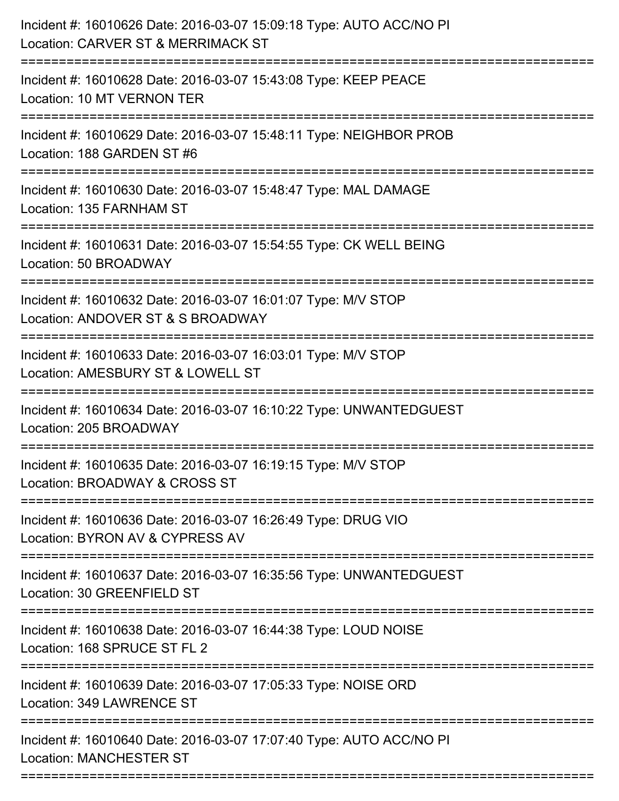| Incident #: 16010626 Date: 2016-03-07 15:09:18 Type: AUTO ACC/NO PI<br>Location: CARVER ST & MERRIMACK ST<br>======================                                |
|--------------------------------------------------------------------------------------------------------------------------------------------------------------------|
| Incident #: 16010628 Date: 2016-03-07 15:43:08 Type: KEEP PEACE<br>Location: 10 MT VERNON TER                                                                      |
| Incident #: 16010629 Date: 2016-03-07 15:48:11 Type: NEIGHBOR PROB<br>Location: 188 GARDEN ST #6<br>====================================<br>====================== |
| Incident #: 16010630 Date: 2016-03-07 15:48:47 Type: MAL DAMAGE<br>Location: 135 FARNHAM ST                                                                        |
| Incident #: 16010631 Date: 2016-03-07 15:54:55 Type: CK WELL BEING<br>Location: 50 BROADWAY<br>:===============================                                    |
| Incident #: 16010632 Date: 2016-03-07 16:01:07 Type: M/V STOP<br>Location: ANDOVER ST & S BROADWAY                                                                 |
| Incident #: 16010633 Date: 2016-03-07 16:03:01 Type: M/V STOP<br>Location: AMESBURY ST & LOWELL ST                                                                 |
| Incident #: 16010634 Date: 2016-03-07 16:10:22 Type: UNWANTEDGUEST<br>Location: 205 BROADWAY                                                                       |
| Incident #: 16010635 Date: 2016-03-07 16:19:15 Type: M/V STOP<br>Location: BROADWAY & CROSS ST                                                                     |
| Incident #: 16010636 Date: 2016-03-07 16:26:49 Type: DRUG VIO<br>Location: BYRON AV & CYPRESS AV                                                                   |
| Incident #: 16010637 Date: 2016-03-07 16:35:56 Type: UNWANTEDGUEST<br>Location: 30 GREENFIELD ST                                                                   |
| Incident #: 16010638 Date: 2016-03-07 16:44:38 Type: LOUD NOISE<br>Location: 168 SPRUCE ST FL 2                                                                    |
| Incident #: 16010639 Date: 2016-03-07 17:05:33 Type: NOISE ORD<br>Location: 349 LAWRENCE ST                                                                        |
| Incident #: 16010640 Date: 2016-03-07 17:07:40 Type: AUTO ACC/NO PI<br><b>Location: MANCHESTER ST</b>                                                              |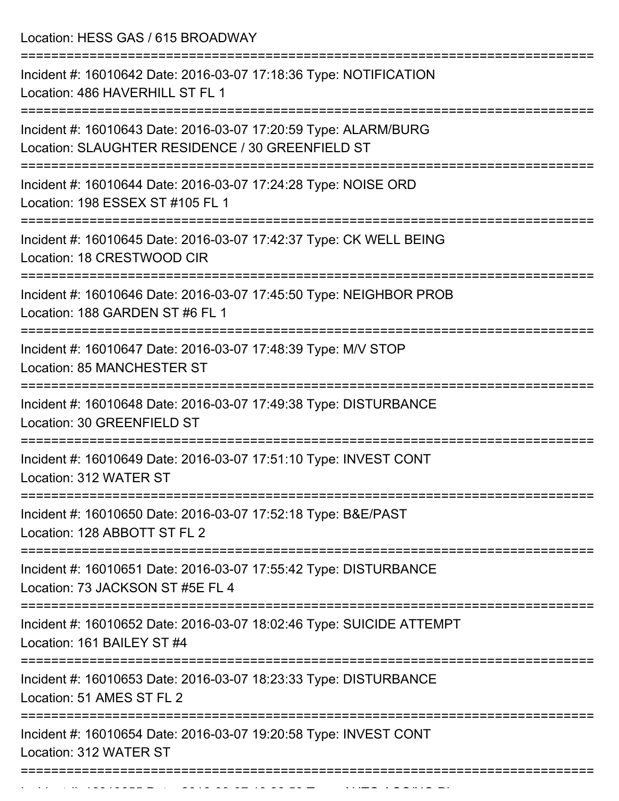Location: HESS GAS / 615 BROADWAY

| Incident #: 16010642 Date: 2016-03-07 17:18:36 Type: NOTIFICATION<br>Location: 486 HAVERHILL ST FL 1                |
|---------------------------------------------------------------------------------------------------------------------|
| Incident #: 16010643 Date: 2016-03-07 17:20:59 Type: ALARM/BURG<br>Location: SLAUGHTER RESIDENCE / 30 GREENFIELD ST |
| Incident #: 16010644 Date: 2016-03-07 17:24:28 Type: NOISE ORD<br>Location: 198 ESSEX ST #105 FL 1                  |
| Incident #: 16010645 Date: 2016-03-07 17:42:37 Type: CK WELL BEING<br>Location: 18 CRESTWOOD CIR                    |
| Incident #: 16010646 Date: 2016-03-07 17:45:50 Type: NEIGHBOR PROB<br>Location: 188 GARDEN ST #6 FL 1               |
| Incident #: 16010647 Date: 2016-03-07 17:48:39 Type: M/V STOP<br>Location: 85 MANCHESTER ST                         |
| Incident #: 16010648 Date: 2016-03-07 17:49:38 Type: DISTURBANCE<br>Location: 30 GREENFIELD ST                      |
| Incident #: 16010649 Date: 2016-03-07 17:51:10 Type: INVEST CONT<br>Location: 312 WATER ST                          |
| Incident #: 16010650 Date: 2016-03-07 17:52:18 Type: B&E/PAST<br>Location: 128 ABBOTT ST FL 2                       |
| Incident #: 16010651 Date: 2016-03-07 17:55:42 Type: DISTURBANCE<br>Location: 73 JACKSON ST #5E FL 4                |
| Incident #: 16010652 Date: 2016-03-07 18:02:46 Type: SUICIDE ATTEMPT<br>Location: 161 BAILEY ST #4                  |
| Incident #: 16010653 Date: 2016-03-07 18:23:33 Type: DISTURBANCE<br>Location: 51 AMES ST FL 2                       |
| Incident #: 16010654 Date: 2016-03-07 19:20:58 Type: INVEST CONT<br>Location: 312 WATER ST                          |
|                                                                                                                     |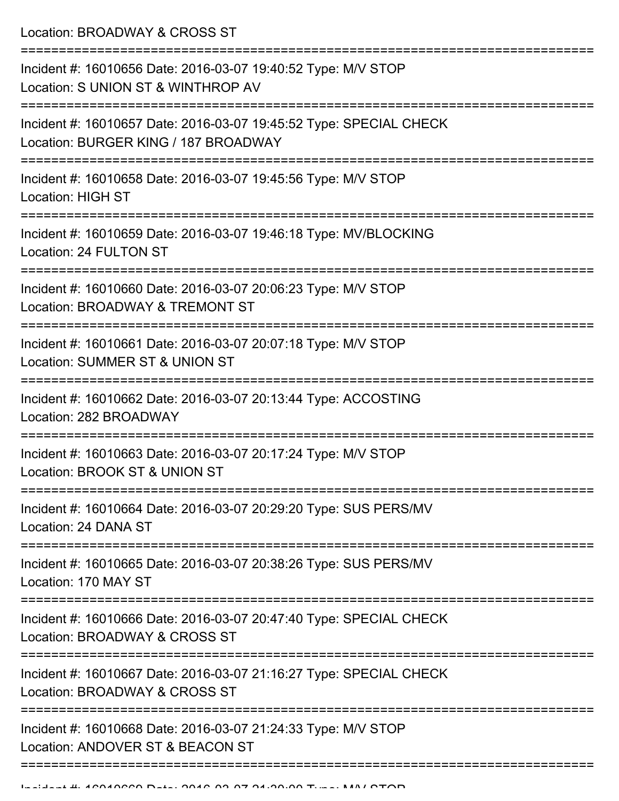Location: BROADWAY & CROSS ST

=========================================================================== Incident #: 16010656 Date: 2016-03-07 19:40:52 Type: M/V STOP Location: S UNION ST & WINTHROP AV =========================================================================== Incident #: 16010657 Date: 2016-03-07 19:45:52 Type: SPECIAL CHECK Location: BURGER KING / 187 BROADWAY =========================================================================== Incident #: 16010658 Date: 2016-03-07 19:45:56 Type: M/V STOP Location: HIGH ST =========================================================================== Incident #: 16010659 Date: 2016-03-07 19:46:18 Type: MV/BLOCKING Location: 24 FULTON ST =========================================================================== Incident #: 16010660 Date: 2016-03-07 20:06:23 Type: M/V STOP Location: BROADWAY & TREMONT ST =========================================================================== Incident #: 16010661 Date: 2016-03-07 20:07:18 Type: M/V STOP Location: SUMMER ST & UNION ST =========================================================================== Incident #: 16010662 Date: 2016-03-07 20:13:44 Type: ACCOSTING Location: 282 BROADWAY =========================================================================== Incident #: 16010663 Date: 2016-03-07 20:17:24 Type: M/V STOP Location: BROOK ST & UNION ST =========================================================================== Incident #: 16010664 Date: 2016-03-07 20:29:20 Type: SUS PERS/MV Location: 24 DANA ST =========================================================================== Incident #: 16010665 Date: 2016-03-07 20:38:26 Type: SUS PERS/MV Location: 170 MAY ST =========================================================================== Incident #: 16010666 Date: 2016-03-07 20:47:40 Type: SPECIAL CHECK Location: BROADWAY & CROSS ST =========================================================================== Incident #: 16010667 Date: 2016-03-07 21:16:27 Type: SPECIAL CHECK Location: BROADWAY & CROSS ST =========================================================================== Incident #: 16010668 Date: 2016-03-07 21:24:33 Type: M/V STOP Location: ANDOVER ST & BEACON ST =============================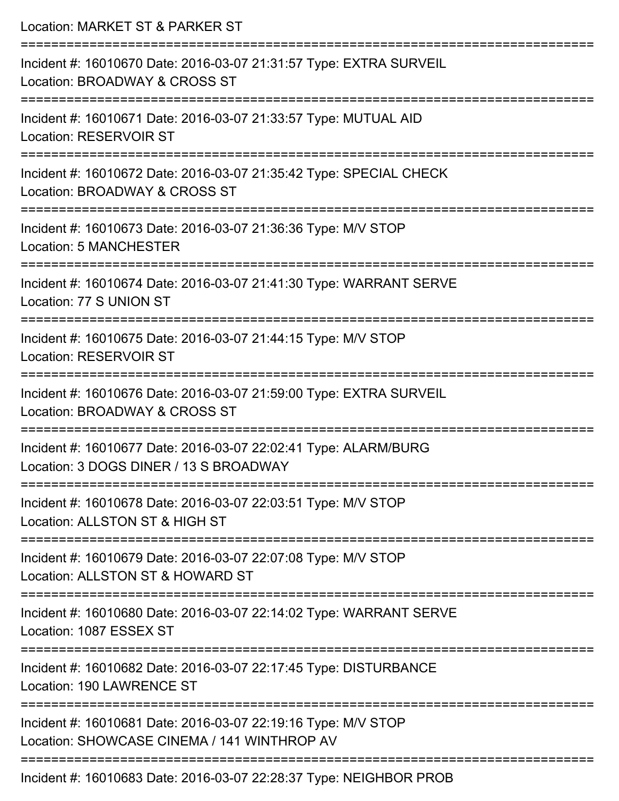| Location: MARKET ST & PARKER ST                                                                              |
|--------------------------------------------------------------------------------------------------------------|
| Incident #: 16010670 Date: 2016-03-07 21:31:57 Type: EXTRA SURVEIL<br>Location: BROADWAY & CROSS ST          |
| Incident #: 16010671 Date: 2016-03-07 21:33:57 Type: MUTUAL AID<br><b>Location: RESERVOIR ST</b>             |
| Incident #: 16010672 Date: 2016-03-07 21:35:42 Type: SPECIAL CHECK<br>Location: BROADWAY & CROSS ST          |
| Incident #: 16010673 Date: 2016-03-07 21:36:36 Type: M/V STOP<br><b>Location: 5 MANCHESTER</b>               |
| Incident #: 16010674 Date: 2016-03-07 21:41:30 Type: WARRANT SERVE<br>Location: 77 S UNION ST                |
| Incident #: 16010675 Date: 2016-03-07 21:44:15 Type: M/V STOP<br><b>Location: RESERVOIR ST</b>               |
| Incident #: 16010676 Date: 2016-03-07 21:59:00 Type: EXTRA SURVEIL<br>Location: BROADWAY & CROSS ST          |
| Incident #: 16010677 Date: 2016-03-07 22:02:41 Type: ALARM/BURG<br>Location: 3 DOGS DINER / 13 S BROADWAY    |
| Incident #: 16010678 Date: 2016-03-07 22:03:51 Type: M/V STOP<br>Location: ALLSTON ST & HIGH ST              |
| Incident #: 16010679 Date: 2016-03-07 22:07:08 Type: M/V STOP<br>Location: ALLSTON ST & HOWARD ST            |
| Incident #: 16010680 Date: 2016-03-07 22:14:02 Type: WARRANT SERVE<br>Location: 1087 ESSEX ST                |
| Incident #: 16010682 Date: 2016-03-07 22:17:45 Type: DISTURBANCE<br>Location: 190 LAWRENCE ST                |
| Incident #: 16010681 Date: 2016-03-07 22:19:16 Type: M/V STOP<br>Location: SHOWCASE CINEMA / 141 WINTHROP AV |
| Incident #: 16010683 Date: 2016-03-07 22:28:37 Type: NEIGHBOR PROB                                           |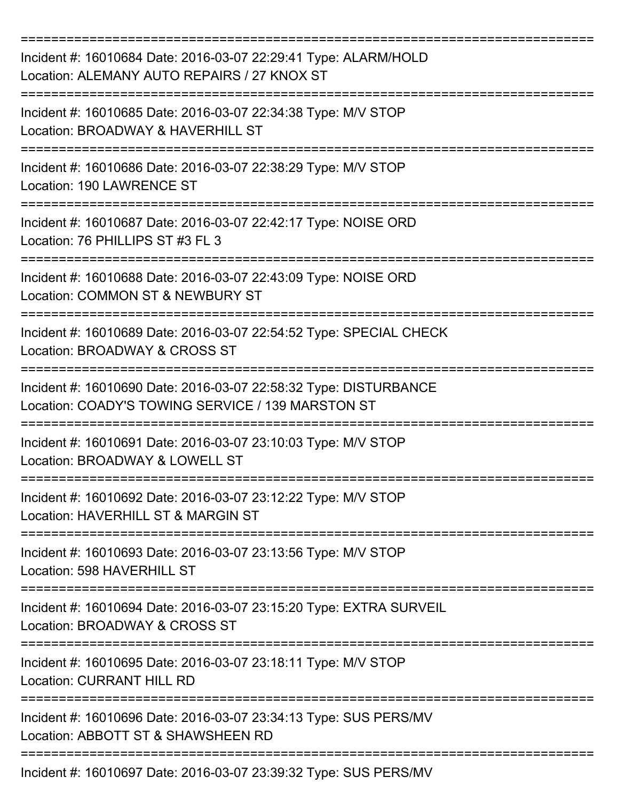| Incident #: 16010684 Date: 2016-03-07 22:29:41 Type: ALARM/HOLD<br>Location: ALEMANY AUTO REPAIRS / 27 KNOX ST        |
|-----------------------------------------------------------------------------------------------------------------------|
| Incident #: 16010685 Date: 2016-03-07 22:34:38 Type: M/V STOP<br>Location: BROADWAY & HAVERHILL ST                    |
| Incident #: 16010686 Date: 2016-03-07 22:38:29 Type: M/V STOP<br>Location: 190 LAWRENCE ST                            |
| Incident #: 16010687 Date: 2016-03-07 22:42:17 Type: NOISE ORD<br>Location: 76 PHILLIPS ST #3 FL 3                    |
| Incident #: 16010688 Date: 2016-03-07 22:43:09 Type: NOISE ORD<br>Location: COMMON ST & NEWBURY ST                    |
| Incident #: 16010689 Date: 2016-03-07 22:54:52 Type: SPECIAL CHECK<br>Location: BROADWAY & CROSS ST                   |
| Incident #: 16010690 Date: 2016-03-07 22:58:32 Type: DISTURBANCE<br>Location: COADY'S TOWING SERVICE / 139 MARSTON ST |
| Incident #: 16010691 Date: 2016-03-07 23:10:03 Type: M/V STOP<br>Location: BROADWAY & LOWELL ST                       |
| Incident #: 16010692 Date: 2016-03-07 23:12:22 Type: M/V STOP<br>Location: HAVERHILL ST & MARGIN ST                   |
| Incident #: 16010693 Date: 2016-03-07 23:13:56 Type: M/V STOP<br>Location: 598 HAVERHILL ST                           |
| Incident #: 16010694 Date: 2016-03-07 23:15:20 Type: EXTRA SURVEIL<br>Location: BROADWAY & CROSS ST                   |
| Incident #: 16010695 Date: 2016-03-07 23:18:11 Type: M/V STOP<br><b>Location: CURRANT HILL RD</b>                     |
| Incident #: 16010696 Date: 2016-03-07 23:34:13 Type: SUS PERS/MV<br>Location: ABBOTT ST & SHAWSHEEN RD                |
| Incident #: 16010697 Date: 2016-03-07 23:39:32 Type: SUS PERS/MV                                                      |